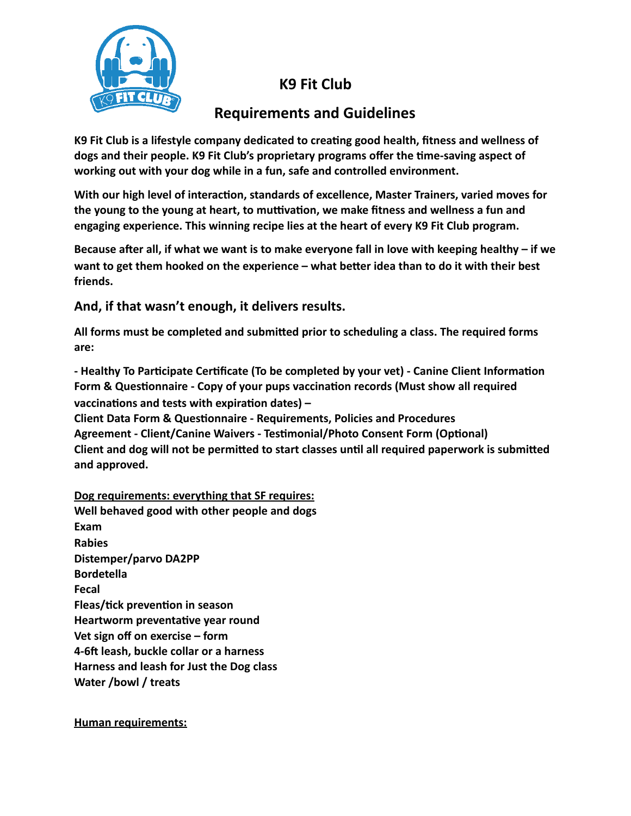## **K9 Fit Club**



## **Requirements and Guidelines**

K9 Fit Club is a lifestyle company dedicated to creating good health, fitness and wellness of dogs and their people. K9 Fit Club's proprietary programs offer the time-saving aspect of working out with your dog while in a fun, safe and controlled environment.

With our high level of interaction, standards of excellence, Master Trainers, varied moves for the young to the young at heart, to muttivation, we make fitness and wellness a fun and engaging experience. This winning recipe lies at the heart of every K9 Fit Club program.

Because after all, if what we want is to make everyone fall in love with keeping healthy – if we want to get them hooked on the experience – what better idea than to do it with their best **friends.** 

And, if that wasn't enough, it delivers results.

All forms must be completed and submitted prior to scheduling a class. The required forms **are:** 

- Healthy To Participate Certificate (To be completed by your vet) - Canine Client Information Form & Questionnaire - Copy of your pups vaccination records (Must show all required vaccinations and tests with expiration dates) -

**Client Data Form & Questionnaire - Requirements, Policies and Procedures** Agreement - Client/Canine Waivers - Testimonial/Photo Consent Form (Optional) Client and dog will not be permitted to start classes until all required paperwork is submitted and approved.

**Dog requirements: everything that SF requires: Well behaved good with other people and dogs Exam Rabies**  Distemper/parvo DA2PP **Bordetella Fecal Fleas/tick prevention in season Heartworm preventative year round** Vet sign off on exercise – form **4-6ft leash, buckle collar or a harness Harness and leash for Just the Dog class Water** /bowl / treats

**Human requirements:**